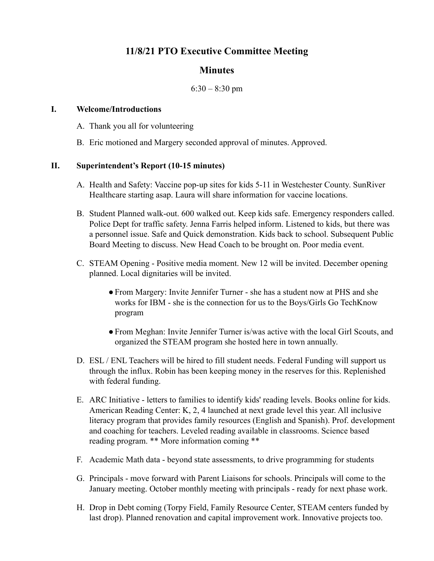# **11/8/21 PTO Executive Committee Meeting**

## **Minutes**

### $6:30 - 8:30$  pm

### **I. Welcome/Introductions**

- A. Thank you all for volunteering
- B. Eric motioned and Margery seconded approval of minutes. Approved.

### **II. Superintendent's Report (10-15 minutes)**

- A. Health and Safety: Vaccine pop-up sites for kids 5-11 in Westchester County. SunRiver Healthcare starting asap. Laura will share information for vaccine locations.
- B. Student Planned walk-out. 600 walked out. Keep kids safe. Emergency responders called. Police Dept for traffic safety. Jenna Farris helped inform. Listened to kids, but there was a personnel issue. Safe and Quick demonstration. Kids back to school. Subsequent Public Board Meeting to discuss. New Head Coach to be brought on. Poor media event.
- C. STEAM Opening Positive media moment. New 12 will be invited. December opening planned. Local dignitaries will be invited.
	- ●From Margery: Invite Jennifer Turner she has a student now at PHS and she works for IBM - she is the connection for us to the Boys/Girls Go TechKnow program
	- ●From Meghan: Invite Jennifer Turner is/was active with the local Girl Scouts, and organized the STEAM program she hosted here in town annually.
- D. ESL / ENL Teachers will be hired to fill student needs. Federal Funding will support us through the influx. Robin has been keeping money in the reserves for this. Replenished with federal funding.
- E. ARC Initiative letters to families to identify kids' reading levels. Books online for kids. American Reading Center: K, 2, 4 launched at next grade level this year. All inclusive literacy program that provides family resources (English and Spanish). Prof. development and coaching for teachers. Leveled reading available in classrooms. Science based reading program. \*\* More information coming \*\*
- F. Academic Math data beyond state assessments, to drive programming for students
- G. Principals move forward with Parent Liaisons for schools. Principals will come to the January meeting. October monthly meeting with principals - ready for next phase work.
- H. Drop in Debt coming (Torpy Field, Family Resource Center, STEAM centers funded by last drop). Planned renovation and capital improvement work. Innovative projects too.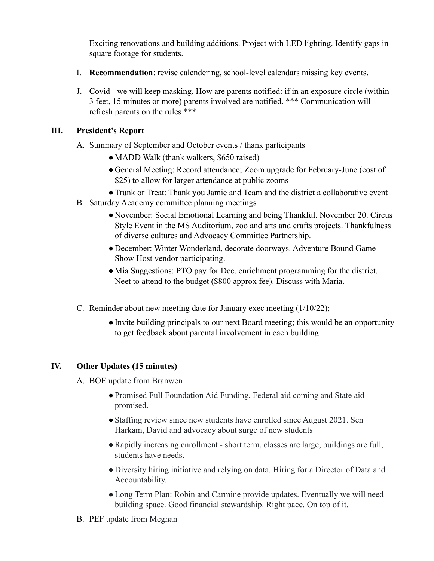Exciting renovations and building additions. Project with LED lighting. Identify gaps in square footage for students.

- I. **Recommendation**: revise calendering, school-level calendars missing key events.
- J. Covid we will keep masking. How are parents notified: if in an exposure circle (within 3 feet, 15 minutes or more) parents involved are notified. \*\*\* Communication will refresh parents on the rules \*\*\*

## **III. President's Report**

- A. Summary of September and October events / thank participants
	- MADD Walk (thank walkers, \$650 raised)
	- General Meeting: Record attendance; Zoom upgrade for February-June (cost of \$25) to allow for larger attendance at public zooms
	- ●Trunk or Treat: Thank you Jamie and Team and the district a collaborative event
- B. Saturday Academy committee planning meetings
	- November: Social Emotional Learning and being Thankful. November 20. Circus Style Event in the MS Auditorium, zoo and arts and crafts projects. Thankfulness of diverse cultures and Advocacy Committee Partnership.
	- December: Winter Wonderland, decorate doorways. Adventure Bound Game Show Host vendor participating.
	- Mia Suggestions: PTO pay for Dec. enrichment programming for the district. Neet to attend to the budget (\$800 approx fee). Discuss with Maria.
- C. Reminder about new meeting date for January exec meeting (1/10/22);
	- ●Invite building principals to our next Board meeting; this would be an opportunity to get feedback about parental involvement in each building.

## **IV. Other Updates (15 minutes)**

- A. BOE update from Branwen
	- ●Promised Full Foundation Aid Funding. Federal aid coming and State aid promised.
	- Staffing review since new students have enrolled since August 2021. Sen Harkam, David and advocacy about surge of new students
	- ●Rapidly increasing enrollment short term, classes are large, buildings are full, students have needs.
	- Diversity hiring initiative and relying on data. Hiring for a Director of Data and Accountability.
	- ●Long Term Plan: Robin and Carmine provide updates. Eventually we will need building space. Good financial stewardship. Right pace. On top of it.
- B. PEF update from Meghan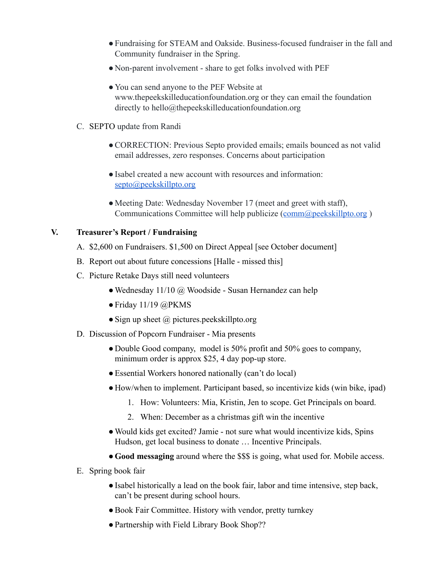- ●Fundraising for STEAM and Oakside. Business-focused fundraiser in the fall and Community fundraiser in the Spring.
- Non-parent involvement share to get folks involved with PEF
- You can send anyone to the PEF Website at www.thepeekskilleducationfoundation.org or they can email the foundation directly to hello@thepeekskilleducationfoundation.org
- C. SEPTO update from Randi
	- CORRECTION: Previous Septo provided emails; emails bounced as not valid email addresses, zero responses. Concerns about participation
	- ●Isabel created a new account with resources and information: [septo@peekskillpto.org](mailto:septo@peekskillpto.org)
	- Meeting Date: Wednesday November 17 (meet and greet with staff), Communications Committee will help publicize ([comm@peekskillpto.org](mailto:comm@peekskillpto.org))

### **V. Treasurer's Report / Fundraising**

- A. \$2,600 on Fundraisers. \$1,500 on Direct Appeal [see October document]
- B. Report out about future concessions [Halle missed this]
- C. Picture Retake Days still need volunteers
	- $\bullet$  Wednesday 11/10 @ Woodside Susan Hernandez can help
	- $\bullet$  Friday 11/19 @PKMS
	- Sign up sheet  $\omega$  pictures.peekskillpto.org
- D. Discussion of Popcorn Fundraiser Mia presents
	- Double Good company, model is 50% profit and 50% goes to company, minimum order is approx \$25, 4 day pop-up store.
	- Essential Workers honored nationally (can't do local)
	- How/when to implement. Participant based, so incentivize kids (win bike, ipad)
		- 1. How: Volunteers: Mia, Kristin, Jen to scope. Get Principals on board.
		- 2. When: December as a christmas gift win the incentive
	- Would kids get excited? Jamie not sure what would incentivize kids, Spins Hudson, get local business to donate … Incentive Principals.
	- ●**Good messaging** around where the \$\$\$ is going, what used for. Mobile access.
- E. Spring book fair
	- ●Isabel historically a lead on the book fair, labor and time intensive, step back, can't be present during school hours.
	- ●Book Fair Committee. History with vendor, pretty turnkey
	- Partnership with Field Library Book Shop??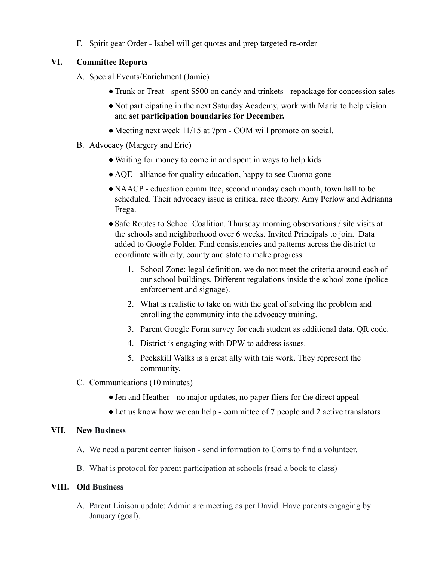F. Spirit gear Order - Isabel will get quotes and prep targeted re-order

## **VI. Committee Reports**

- A. Special Events/Enrichment (Jamie)
	- ●Trunk or Treat spent \$500 on candy and trinkets repackage for concession sales
	- Not participating in the next Saturday Academy, work with Maria to help vision and **set participation boundaries for December.**
	- Meeting next week 11/15 at 7pm COM will promote on social.
- B. Advocacy (Margery and Eric)
	- ●Waiting for money to come in and spent in ways to help kids
	- AQE alliance for quality education, happy to see Cuomo gone
	- NAACP education committee, second monday each month, town hall to be scheduled. Their advocacy issue is critical race theory. Amy Perlow and Adrianna Frega.
	- Safe Routes to School Coalition. Thursday morning observations / site visits at the schools and neighborhood over 6 weeks. Invited Principals to join. Data added to Google Folder. Find consistencies and patterns across the district to coordinate with city, county and state to make progress.
		- 1. School Zone: legal definition, we do not meet the criteria around each of our school buildings. Different regulations inside the school zone (police enforcement and signage).
		- 2. What is realistic to take on with the goal of solving the problem and enrolling the community into the advocacy training.
		- 3. Parent Google Form survey for each student as additional data. QR code.
		- 4. District is engaging with DPW to address issues.
		- 5. Peekskill Walks is a great ally with this work. They represent the community.
- C. Communications (10 minutes)
	- ●Jen and Heather no major updates, no paper fliers for the direct appeal
	- Let us know how we can help committee of 7 people and 2 active translators

### **VII. New Business**

- A. We need a parent center liaison send information to Coms to find a volunteer.
- B. What is protocol for parent participation at schools (read a book to class)

### **VIII. Old Business**

A. Parent Liaison update: Admin are meeting as per David. Have parents engaging by January (goal).